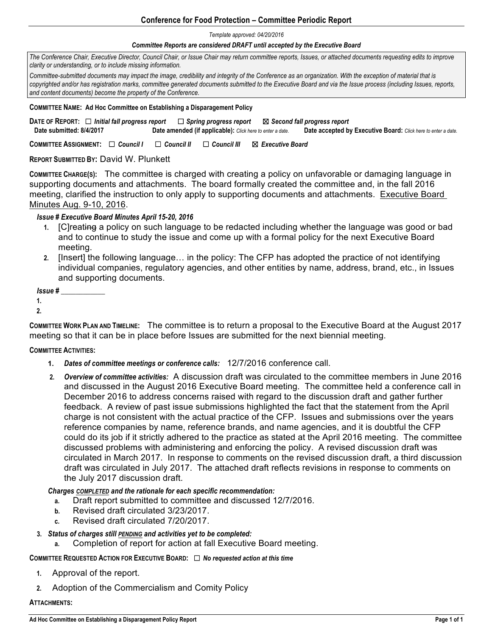## **Conference for Food Protection – Committee Periodic Report**

*Template approved: 04/20/2016*

#### *Committee Reports are considered DRAFT until accepted by the Executive Board*

*The Conference Chair, Executive Director, Council Chair, or Issue Chair may return committee reports, Issues, or attached documents requesting edits to improve clarity or understanding, or to include missing information.* 

*Committee-submitted documents may impact the image, credibility and integrity of the Conference as an organization. With the exception of material that is*  copyrighted and/or has registration marks, committee generated documents submitted to the Executive Board and via the Issue process (including Issues, reports, *and content documents) become the property of the Conference.* 

#### **COMMITTEE NAME: Ad Hoc Committee on Establishing a Disparagement Policy**

**DATE OF REPORT:** ☐ *Initial fall progress report* ☐ *Spring progress report* ☒ *Second fall progress report*   **Date submitted: 8/4/2017 Date amended (if applicable):** *Click here to enter a date.* **Date accepted by Executive Board:** *Click here to enter a date.*

**COMMITTEE ASSIGNMENT:** ☐ *Council I* ☐ *Council II* ☐ *Council III* ☒ *Executive Board* 

**REPORT SUBMITTED BY:** David W. Plunkett

**COMMITTEE CHARGE(S):** The committee is charged with creating a policy on unfavorable or damaging language in supporting documents and attachments. The board formally created the committee and, in the fall 2016 meeting, clarified the instruction to only apply to supporting documents and attachments. Executive Board Minutes Aug. 9-10, 2016.

### *Issue # Executive Board Minutes April 15-20, 2016*

- **1.** [C]reating a policy on such language to be redacted including whether the language was good or bad and to continue to study the issue and come up with a formal policy for the next Executive Board meeting.
- **2.** [Insert] the following language… in the policy: The CFP has adopted the practice of not identifying individual companies, regulatory agencies, and other entities by name, address, brand, etc., in Issues and supporting documents.

*Issue # \_\_\_\_\_\_\_\_\_\_\_\_*

**1.**

**2.**

**COMMITTEE WORK PLAN AND TIMELINE:** The committee is to return a proposal to the Executive Board at the August 2017 meeting so that it can be in place before Issues are submitted for the next biennial meeting.

#### **COMMITTEE ACTIVITIES:**

- **1.** *Dates of committee meetings or conference calls:* 12/7/2016 conference call.
- **2.** *Overview of committee activities:* A discussion draft was circulated to the committee members in June 2016 and discussed in the August 2016 Executive Board meeting. The committee held a conference call in December 2016 to address concerns raised with regard to the discussion draft and gather further feedback. A review of past issue submissions highlighted the fact that the statement from the April charge is not consistent with the actual practice of the CFP. Issues and submissions over the years reference companies by name, reference brands, and name agencies, and it is doubtful the CFP could do its job if it strictly adhered to the practice as stated at the April 2016 meeting. The committee discussed problems with administering and enforcing the policy. A revised discussion draft was circulated in March 2017. In response to comments on the revised discussion draft, a third discussion draft was circulated in July 2017. The attached draft reflects revisions in response to comments on the July 2017 discussion draft.

#### *Charges COMPLETED and the rationale for each specific recommendation:*

- **a.** Draft report submitted to committee and discussed 12/7/2016.
- **b.** Revised draft circulated 3/23/2017.
- **c.** Revised draft circulated 7/20/2017.
- **3.** *Status of charges still PENDING and activities yet to be completed:*
	- **a.** Completion of report for action at fall Executive Board meeting.

#### **COMMITTEE REQUESTED ACTION FOR EXECUTIVE BOARD:** ☐ *No requested action at this time*

- **1.** Approval of the report.
- **2.** Adoption of the Commercialism and Comity Policy

#### **ATTACHMENTS:**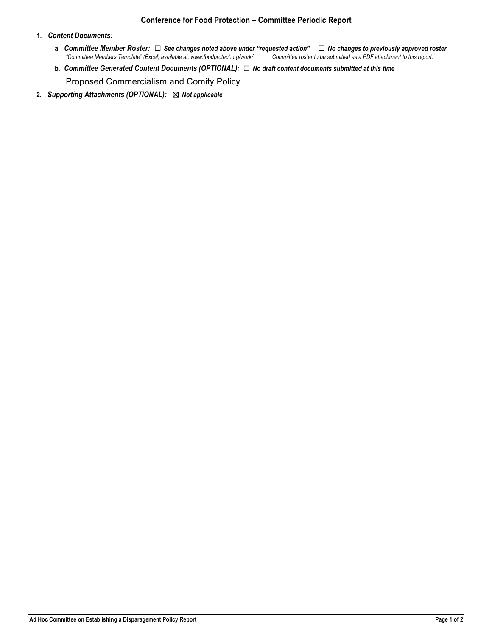#### **1.** *Content Documents:*

- **a.** *Committee Member Roster:* **<del>□</del> See changes noted above under "requested action"** □ **No changes to previously approved roster** "Committee Members Template" (Excel) available at: www.foodprotect.org/work/ Committee ro *"Committee Members Template" (Excel) available at: www.foodprotect.org/work/ Committee roster to be submitted as a PDF attachment to this report.*
- **b.** *Committee Generated Content Documents (OPTIONAL):* ☐ *No draft content documents submitted at this time*

Proposed Commercialism and Comity Policy

**2.** *Supporting Attachments (OPTIONAL):* ☒ *Not applicable*